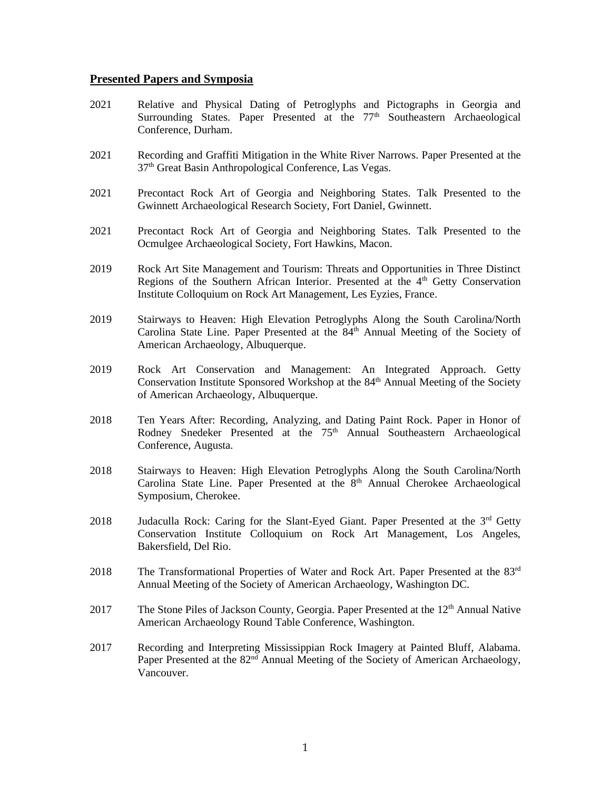## **Presented Papers and Symposia**

- 2021 Relative and Physical Dating of Petroglyphs and Pictographs in Georgia and Surrounding States. Paper Presented at the  $77<sup>th</sup>$  Southeastern Archaeological Conference, Durham.
- 2021 Recording and Graffiti Mitigation in the White River Narrows. Paper Presented at the 37th Great Basin Anthropological Conference, Las Vegas.
- 2021 Precontact Rock Art of Georgia and Neighboring States. Talk Presented to the Gwinnett Archaeological Research Society, Fort Daniel, Gwinnett.
- 2021 Precontact Rock Art of Georgia and Neighboring States. Talk Presented to the Ocmulgee Archaeological Society, Fort Hawkins, Macon.
- 2019 Rock Art Site Management and Tourism: Threats and Opportunities in Three Distinct Regions of the Southern African Interior. Presented at the  $4<sup>th</sup>$  Getty Conservation Institute Colloquium on Rock Art Management, Les Eyzies, France.
- 2019 Stairways to Heaven: High Elevation Petroglyphs Along the South Carolina/North Carolina State Line. Paper Presented at the 84<sup>th</sup> Annual Meeting of the Society of American Archaeology, Albuquerque.
- 2019 Rock Art Conservation and Management: An Integrated Approach. Getty Conservation Institute Sponsored Workshop at the 84<sup>th</sup> Annual Meeting of the Society of American Archaeology, Albuquerque.
- 2018 Ten Years After: Recording, Analyzing, and Dating Paint Rock. Paper in Honor of Rodney Snedeker Presented at the 75<sup>th</sup> Annual Southeastern Archaeological Conference, Augusta.
- 2018 Stairways to Heaven: High Elevation Petroglyphs Along the South Carolina/North Carolina State Line. Paper Presented at the  $8<sup>th</sup>$  Annual Cherokee Archaeological Symposium, Cherokee.
- 2018 Judaculla Rock: Caring for the Slant-Eyed Giant. Paper Presented at the  $3<sup>rd</sup>$  Getty Conservation Institute Colloquium on Rock Art Management, Los Angeles, Bakersfield, Del Rio.
- 2018 The Transformational Properties of Water and Rock Art. Paper Presented at the 83<sup>rd</sup> Annual Meeting of the Society of American Archaeology, Washington DC.
- 2017 The Stone Piles of Jackson County, Georgia. Paper Presented at the 12<sup>th</sup> Annual Native American Archaeology Round Table Conference, Washington.
- 2017 Recording and Interpreting Mississippian Rock Imagery at Painted Bluff, Alabama. Paper Presented at the 82<sup>nd</sup> Annual Meeting of the Society of American Archaeology, Vancouver.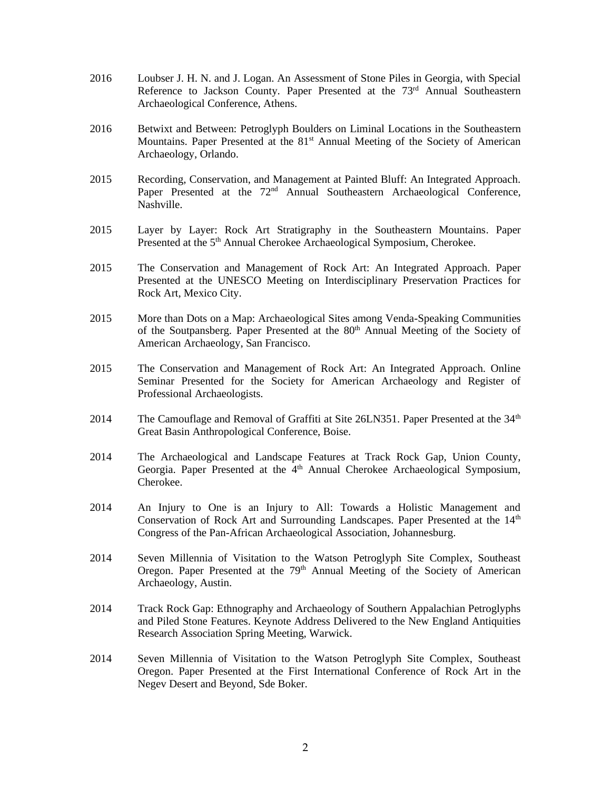- 2016 Loubser J. H. N. and J. Logan. An Assessment of Stone Piles in Georgia, with Special Reference to Jackson County. Paper Presented at the 73<sup>rd</sup> Annual Southeastern Archaeological Conference, Athens.
- 2016 Betwixt and Between: Petroglyph Boulders on Liminal Locations in the Southeastern Mountains. Paper Presented at the 81<sup>st</sup> Annual Meeting of the Society of American Archaeology, Orlando.
- 2015 Recording, Conservation, and Management at Painted Bluff: An Integrated Approach. Paper Presented at the 72<sup>nd</sup> Annual Southeastern Archaeological Conference, Nashville.
- 2015 Layer by Layer: Rock Art Stratigraphy in the Southeastern Mountains. Paper Presented at the 5<sup>th</sup> Annual Cherokee Archaeological Symposium, Cherokee.
- 2015 The Conservation and Management of Rock Art: An Integrated Approach. Paper Presented at the UNESCO Meeting on Interdisciplinary Preservation Practices for Rock Art, Mexico City.
- 2015 More than Dots on a Map: Archaeological Sites among Venda-Speaking Communities of the Soutpansberg. Paper Presented at the 80<sup>th</sup> Annual Meeting of the Society of American Archaeology, San Francisco.
- 2015 The Conservation and Management of Rock Art: An Integrated Approach. Online Seminar Presented for the Society for American Archaeology and Register of Professional Archaeologists.
- 2014 The Camouflage and Removal of Graffiti at Site 26LN351. Paper Presented at the  $34<sup>th</sup>$ Great Basin Anthropological Conference, Boise.
- 2014 The Archaeological and Landscape Features at Track Rock Gap, Union County, Georgia. Paper Presented at the 4<sup>th</sup> Annual Cherokee Archaeological Symposium, Cherokee.
- 2014 An Injury to One is an Injury to All: Towards a Holistic Management and Conservation of Rock Art and Surrounding Landscapes. Paper Presented at the  $14<sup>th</sup>$ Congress of the Pan-African Archaeological Association, Johannesburg.
- 2014 Seven Millennia of Visitation to the Watson Petroglyph Site Complex, Southeast Oregon. Paper Presented at the  $79<sup>th</sup>$  Annual Meeting of the Society of American Archaeology, Austin.
- 2014 Track Rock Gap: Ethnography and Archaeology of Southern Appalachian Petroglyphs and Piled Stone Features. Keynote Address Delivered to the New England Antiquities Research Association Spring Meeting, Warwick.
- 2014 Seven Millennia of Visitation to the Watson Petroglyph Site Complex, Southeast Oregon. Paper Presented at the First International Conference of Rock Art in the Negev Desert and Beyond, Sde Boker.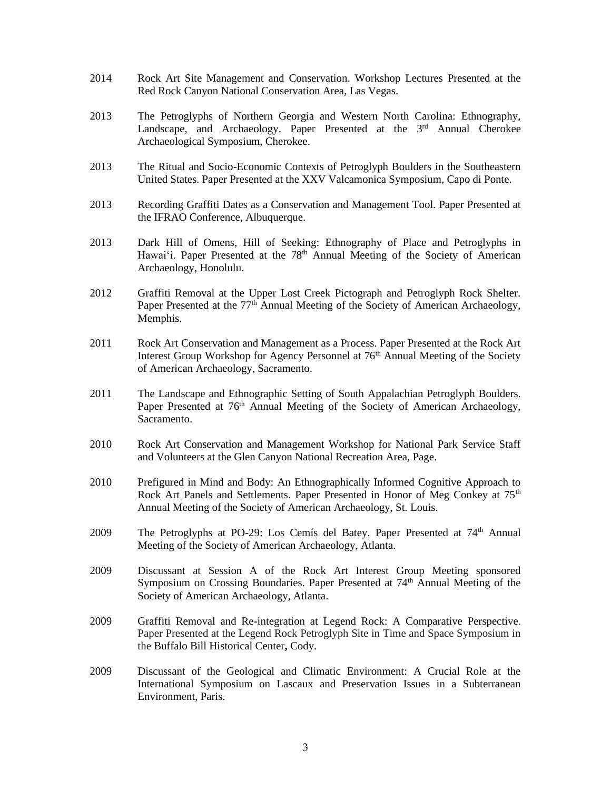- 2014 Rock Art Site Management and Conservation. Workshop Lectures Presented at the Red Rock Canyon National Conservation Area, Las Vegas.
- 2013 The Petroglyphs of Northern Georgia and Western North Carolina: Ethnography, Landscape, and Archaeology. Paper Presented at the 3<sup>rd</sup> Annual Cherokee Archaeological Symposium, Cherokee.
- 2013 The Ritual and Socio-Economic Contexts of Petroglyph Boulders in the Southeastern United States. Paper Presented at the XXV Valcamonica Symposium, Capo di Ponte.
- 2013 Recording Graffiti Dates as a Conservation and Management Tool. Paper Presented at the IFRAO Conference, Albuquerque.
- 2013 Dark Hill of Omens, Hill of Seeking: Ethnography of Place and Petroglyphs in Hawai'i. Paper Presented at the 78<sup>th</sup> Annual Meeting of the Society of American Archaeology, Honolulu.
- 2012 Graffiti Removal at the Upper Lost Creek Pictograph and Petroglyph Rock Shelter. Paper Presented at the 77<sup>th</sup> Annual Meeting of the Society of American Archaeology, Memphis.
- 2011 Rock Art Conservation and Management as a Process. Paper Presented at the Rock Art Interest Group Workshop for Agency Personnel at 76<sup>th</sup> Annual Meeting of the Society of American Archaeology, Sacramento.
- 2011 The Landscape and Ethnographic Setting of South Appalachian Petroglyph Boulders. Paper Presented at 76<sup>th</sup> Annual Meeting of the Society of American Archaeology, Sacramento.
- 2010 Rock Art Conservation and Management Workshop for National Park Service Staff and Volunteers at the Glen Canyon National Recreation Area, Page.
- 2010 Prefigured in Mind and Body: An Ethnographically Informed Cognitive Approach to Rock Art Panels and Settlements. Paper Presented in Honor of Meg Conkey at 75<sup>th</sup> Annual Meeting of the Society of American Archaeology, St. Louis.
- 2009 The Petroglyphs at PO-29: Los Cemís del Batey. Paper Presented at 74<sup>th</sup> Annual Meeting of the Society of American Archaeology, Atlanta.
- 2009 Discussant at Session A of the Rock Art Interest Group Meeting sponsored Symposium on Crossing Boundaries. Paper Presented at 74<sup>th</sup> Annual Meeting of the Society of American Archaeology, Atlanta.
- 2009 Graffiti Removal and Re-integration at Legend Rock: A Comparative Perspective. Paper Presented at the Legend Rock Petroglyph Site in Time and Space Symposium in the Buffalo Bill Historical Center**,** Cody.
- 2009 Discussant of the Geological and Climatic Environment: A Crucial Role at the International Symposium on Lascaux and Preservation Issues in a Subterranean Environment, Paris.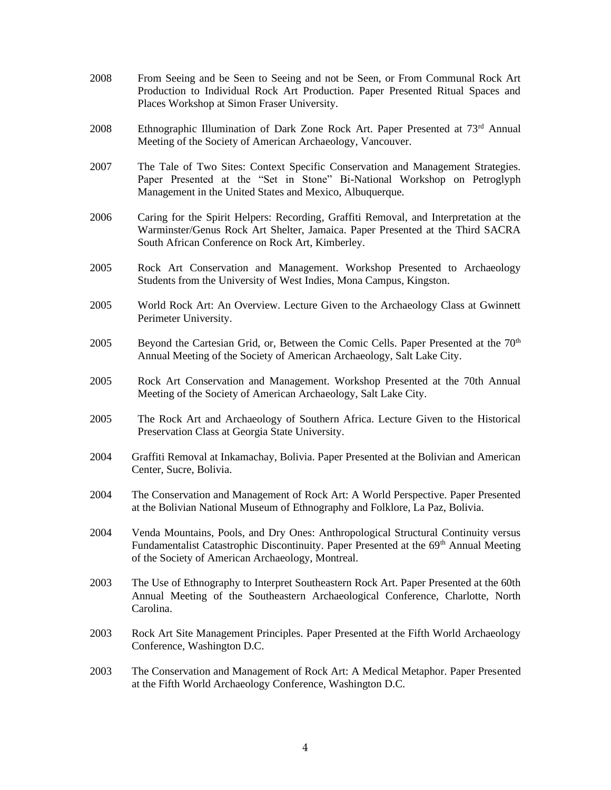- 2008 From Seeing and be Seen to Seeing and not be Seen, or From Communal Rock Art Production to Individual Rock Art Production. Paper Presented Ritual Spaces and Places Workshop at Simon Fraser University.
- 2008 Ethnographic Illumination of Dark Zone Rock Art. Paper Presented at  $73<sup>rd</sup>$  Annual Meeting of the Society of American Archaeology, Vancouver.
- 2007 The Tale of Two Sites: Context Specific Conservation and Management Strategies. Paper Presented at the "Set in Stone" Bi-National Workshop on Petroglyph Management in the United States and Mexico, Albuquerque.
- 2006 Caring for the Spirit Helpers: Recording, Graffiti Removal, and Interpretation at the Warminster/Genus Rock Art Shelter, Jamaica. Paper Presented at the Third SACRA South African Conference on Rock Art, Kimberley.
- 2005 Rock Art Conservation and Management. Workshop Presented to Archaeology Students from the University of West Indies, Mona Campus, Kingston.
- 2005 World Rock Art: An Overview. Lecture Given to the Archaeology Class at Gwinnett Perimeter University.
- 2005 Beyond the Cartesian Grid, or, Between the Comic Cells. Paper Presented at the  $70<sup>th</sup>$ Annual Meeting of the Society of American Archaeology, Salt Lake City.
- 2005 Rock Art Conservation and Management. Workshop Presented at the 70th Annual Meeting of the Society of American Archaeology, Salt Lake City.
- 2005 The Rock Art and Archaeology of Southern Africa. Lecture Given to the Historical Preservation Class at Georgia State University.
- 2004 Graffiti Removal at Inkamachay, Bolivia. Paper Presented at the Bolivian and American Center, Sucre, Bolivia.
- 2004 The Conservation and Management of Rock Art: A World Perspective. Paper Presented at the Bolivian National Museum of Ethnography and Folklore, La Paz, Bolivia.
- 2004 Venda Mountains, Pools, and Dry Ones: Anthropological Structural Continuity versus Fundamentalist Catastrophic Discontinuity. Paper Presented at the 69<sup>th</sup> Annual Meeting of the Society of American Archaeology, Montreal.
- 2003 The Use of Ethnography to Interpret Southeastern Rock Art. Paper Presented at the 60th Annual Meeting of the Southeastern Archaeological Conference, Charlotte, North Carolina.
- 2003 Rock Art Site Management Principles. Paper Presented at the Fifth World Archaeology Conference, Washington D.C.
- 2003 The Conservation and Management of Rock Art: A Medical Metaphor. Paper Presented at the Fifth World Archaeology Conference, Washington D.C.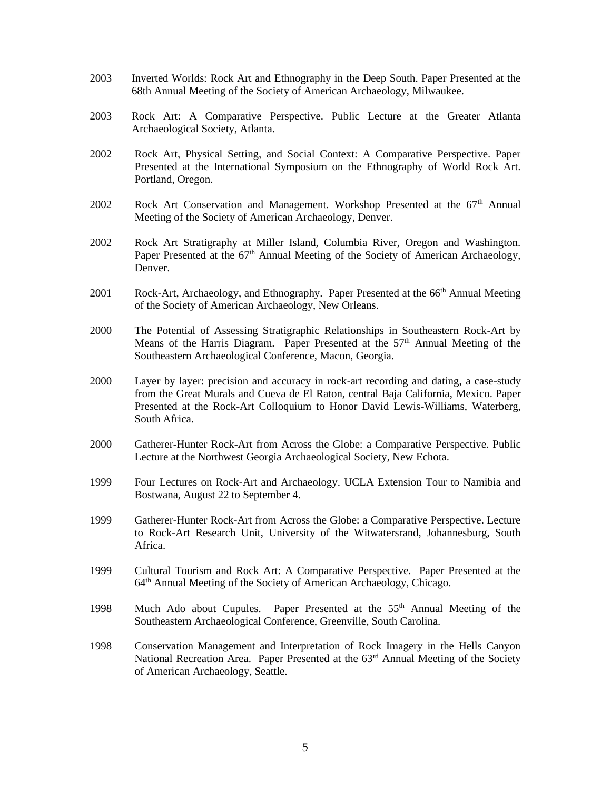- 2003 Inverted Worlds: Rock Art and Ethnography in the Deep South. Paper Presented at the 68th Annual Meeting of the Society of American Archaeology, Milwaukee.
- 2003 Rock Art: A Comparative Perspective. Public Lecture at the Greater Atlanta Archaeological Society, Atlanta.
- 2002 Rock Art, Physical Setting, and Social Context: A Comparative Perspective. Paper Presented at the International Symposium on the Ethnography of World Rock Art. Portland, Oregon.
- 2002 Rock Art Conservation and Management. Workshop Presented at the  $67<sup>th</sup>$  Annual Meeting of the Society of American Archaeology, Denver.
- 2002 Rock Art Stratigraphy at Miller Island, Columbia River, Oregon and Washington. Paper Presented at the  $67<sup>th</sup>$  Annual Meeting of the Society of American Archaeology, Denver.
- 2001 Rock-Art, Archaeology, and Ethnography. Paper Presented at the 66<sup>th</sup> Annual Meeting of the Society of American Archaeology, New Orleans.
- 2000 The Potential of Assessing Stratigraphic Relationships in Southeastern Rock-Art by Means of the Harris Diagram. Paper Presented at the  $57<sup>th</sup>$  Annual Meeting of the Southeastern Archaeological Conference, Macon, Georgia.
- 2000 Layer by layer: precision and accuracy in rock-art recording and dating, a case-study from the Great Murals and Cueva de El Raton, central Baja California, Mexico. Paper Presented at the Rock-Art Colloquium to Honor David Lewis-Williams, Waterberg, South Africa.
- 2000 Gatherer-Hunter Rock-Art from Across the Globe: a Comparative Perspective. Public Lecture at the Northwest Georgia Archaeological Society, New Echota.
- 1999 Four Lectures on Rock-Art and Archaeology. UCLA Extension Tour to Namibia and Bostwana, August 22 to September 4.
- 1999 Gatherer-Hunter Rock-Art from Across the Globe: a Comparative Perspective. Lecture to Rock-Art Research Unit, University of the Witwatersrand, Johannesburg, South Africa.
- 1999 Cultural Tourism and Rock Art: A Comparative Perspective. Paper Presented at the 64th Annual Meeting of the Society of American Archaeology, Chicago.
- 1998 Much Ado about Cupules. Paper Presented at the 55th Annual Meeting of the Southeastern Archaeological Conference, Greenville, South Carolina.
- 1998 Conservation Management and Interpretation of Rock Imagery in the Hells Canyon National Recreation Area. Paper Presented at the 63<sup>rd</sup> Annual Meeting of the Society of American Archaeology, Seattle.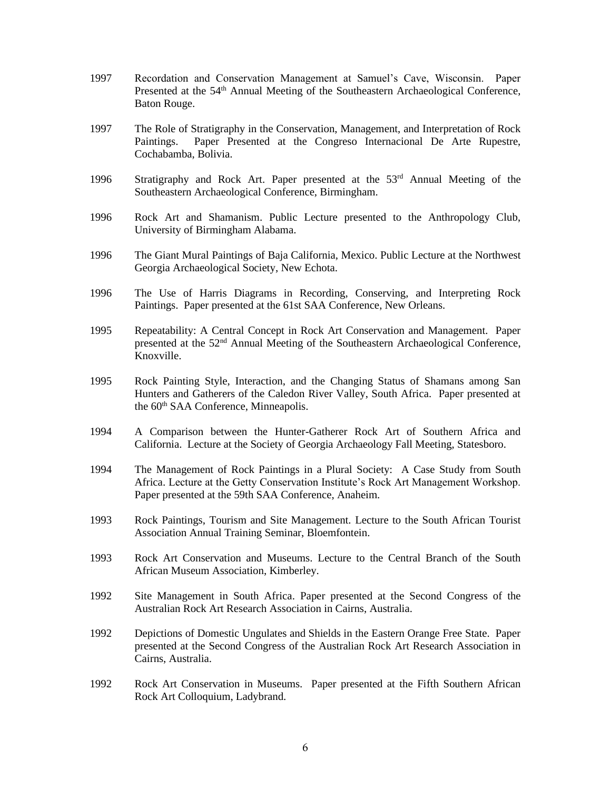- 1997 Recordation and Conservation Management at Samuel's Cave, Wisconsin. Paper Presented at the 54<sup>th</sup> Annual Meeting of the Southeastern Archaeological Conference, Baton Rouge.
- 1997 The Role of Stratigraphy in the Conservation, Management, and Interpretation of Rock Paintings. Paper Presented at the Congreso Internacional De Arte Rupestre, Cochabamba, Bolivia.
- 1996 Stratigraphy and Rock Art. Paper presented at the 53<sup>rd</sup> Annual Meeting of the Southeastern Archaeological Conference, Birmingham.
- 1996 Rock Art and Shamanism. Public Lecture presented to the Anthropology Club, University of Birmingham Alabama.
- 1996 The Giant Mural Paintings of Baja California, Mexico. Public Lecture at the Northwest Georgia Archaeological Society, New Echota.
- 1996 The Use of Harris Diagrams in Recording, Conserving, and Interpreting Rock Paintings. Paper presented at the 61st SAA Conference, New Orleans.
- 1995 Repeatability: A Central Concept in Rock Art Conservation and Management. Paper presented at the 52nd Annual Meeting of the Southeastern Archaeological Conference, Knoxville.
- 1995 Rock Painting Style, Interaction, and the Changing Status of Shamans among San Hunters and Gatherers of the Caledon River Valley, South Africa. Paper presented at the 60<sup>th</sup> SAA Conference, Minneapolis.
- 1994 A Comparison between the Hunter-Gatherer Rock Art of Southern Africa and California. Lecture at the Society of Georgia Archaeology Fall Meeting, Statesboro.
- 1994 The Management of Rock Paintings in a Plural Society: A Case Study from South Africa. Lecture at the Getty Conservation Institute's Rock Art Management Workshop. Paper presented at the 59th SAA Conference, Anaheim.
- 1993 Rock Paintings, Tourism and Site Management. Lecture to the South African Tourist Association Annual Training Seminar, Bloemfontein.
- 1993 Rock Art Conservation and Museums. Lecture to the Central Branch of the South African Museum Association, Kimberley.
- 1992 Site Management in South Africa. Paper presented at the Second Congress of the Australian Rock Art Research Association in Cairns, Australia.
- 1992 Depictions of Domestic Ungulates and Shields in the Eastern Orange Free State. Paper presented at the Second Congress of the Australian Rock Art Research Association in Cairns, Australia.
- 1992 Rock Art Conservation in Museums. Paper presented at the Fifth Southern African Rock Art Colloquium, Ladybrand.